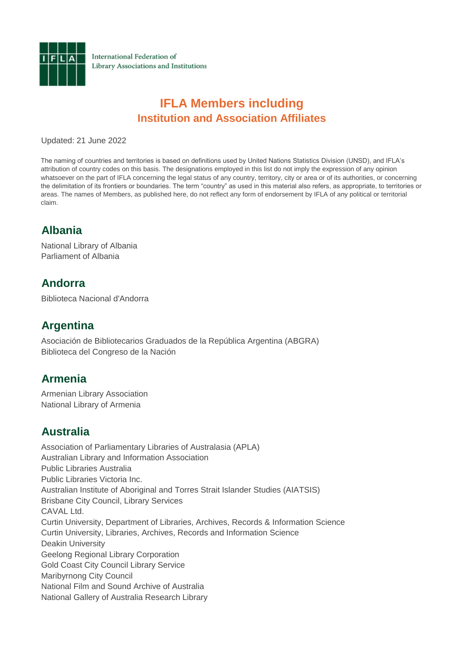

International Federation of Library Associations and Institutions

# **IFLA Members including Institution and Association Affiliates**

Updated: 21 June 2022

The naming of countries and territories is based on definitions used by United Nations Statistics Division (UNSD), and IFLA's attribution of country codes on this basis. The designations employed in this list do not imply the expression of any opinion whatsoever on the part of IFLA concerning the legal status of any country, territory, city or area or of its authorities, or concerning the delimitation of its frontiers or boundaries. The term "country" as used in this material also refers, as appropriate, to territories or areas. The names of Members, as published here, do not reflect any form of endorsement by IFLA of any political or territorial claim.

# **Albania**

National Library of Albania Parliament of Albania

## **Andorra**

Biblioteca Nacional d'Andorra

## **Argentina**

Asociación de Bibliotecarios Graduados de la República Argentina (ABGRA) Biblioteca del Congreso de la Nación

# **Armenia**

Armenian Library Association National Library of Armenia

# **Australia**

Association of Parliamentary Libraries of Australasia (APLA) Australian Library and Information Association Public Libraries Australia Public Libraries Victoria Inc. Australian Institute of Aboriginal and Torres Strait Islander Studies (AIATSIS) Brisbane City Council, Library Services CAVAL Ltd. Curtin University, Department of Libraries, Archives, Records & Information Science Curtin University, Libraries, Archives, Records and Information Science Deakin University Geelong Regional Library Corporation Gold Coast City Council Library Service Maribyrnong City Council National Film and Sound Archive of Australia National Gallery of Australia Research Library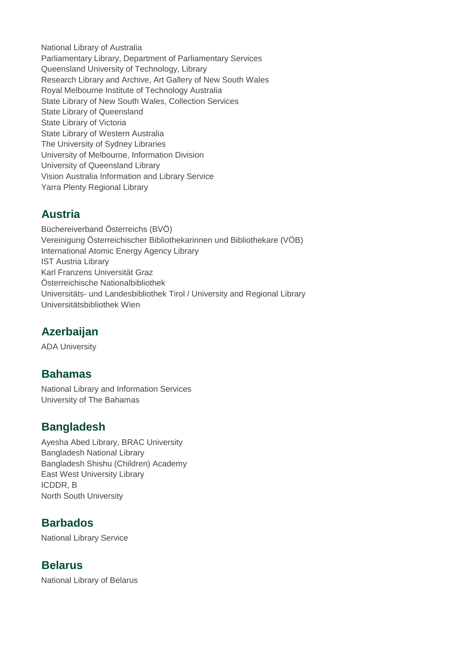National Library of Australia Parliamentary Library, Department of Parliamentary Services Queensland University of Technology, Library Research Library and Archive, Art Gallery of New South Wales Royal Melbourne Institute of Technology Australia State Library of New South Wales, Collection Services State Library of Queensland State Library of Victoria State Library of Western Australia The University of Sydney Libraries University of Melbourne, Information Division University of Queensland Library Vision Australia Information and Library Service Yarra Plenty Regional Library

# **Austria**

Büchereiverband Österreichs (BVÖ) Vereinigung Österreichischer Bibliothekarinnen und Bibliothekare (VÖB) International Atomic Energy Agency Library IST Austria Library Karl Franzens Universität Graz Österreichische Nationalbibliothek Universitäts- und Landesbibliothek Tirol / University and Regional Library Universitätsbibliothek Wien

# **Azerbaijan**

ADA University

## **Bahamas**

National Library and Information Services University of The Bahamas

## **Bangladesh**

Ayesha Abed Library, BRAC University Bangladesh National Library Bangladesh Shishu (Children) Academy East West University Library ICDDR, B North South University

## **Barbados**

National Library Service

## **Belarus**

National Library of Belarus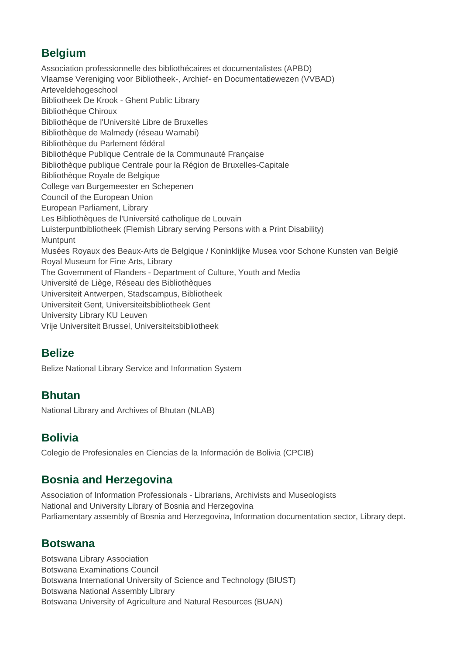## **Belgium**

Association professionnelle des bibliothécaires et documentalistes (APBD) Vlaamse Vereniging voor Bibliotheek-, Archief- en Documentatiewezen (VVBAD) Arteveldehogeschool Bibliotheek De Krook - Ghent Public Library Bibliothèque Chiroux Bibliothèque de l'Université Libre de Bruxelles Bibliothèque de Malmedy (réseau Wamabi) Bibliothèque du Parlement fédéral Bibliothèque Publique Centrale de la Communauté Française Bibliothèque publique Centrale pour la Région de Bruxelles-Capitale Bibliothèque Royale de Belgique College van Burgemeester en Schepenen Council of the European Union European Parliament, Library Les Bibliothèques de l'Université catholique de Louvain Luisterpuntbibliotheek (Flemish Library serving Persons with a Print Disability) **Muntpunt** Musées Royaux des Beaux-Arts de Belgique / Koninklijke Musea voor Schone Kunsten van België Royal Museum for Fine Arts, Library The Government of Flanders - Department of Culture, Youth and Media Université de Liège, Réseau des Bibliothèques Universiteit Antwerpen, Stadscampus, Bibliotheek Universiteit Gent, Universiteitsbibliotheek Gent University Library KU Leuven Vrije Universiteit Brussel, Universiteitsbibliotheek

## **Belize**

Belize National Library Service and Information System

## **Bhutan**

National Library and Archives of Bhutan (NLAB)

## **Bolivia**

Colegio de Profesionales en Ciencias de la Información de Bolivia (CPCIB)

## **Bosnia and Herzegovina**

Association of Information Professionals - Librarians, Archivists and Museologists National and University Library of Bosnia and Herzegovina Parliamentary assembly of Bosnia and Herzegovina, Information documentation sector, Library dept.

#### **Botswana**

Botswana Library Association Botswana Examinations Council Botswana International University of Science and Technology (BIUST) Botswana National Assembly Library Botswana University of Agriculture and Natural Resources (BUAN)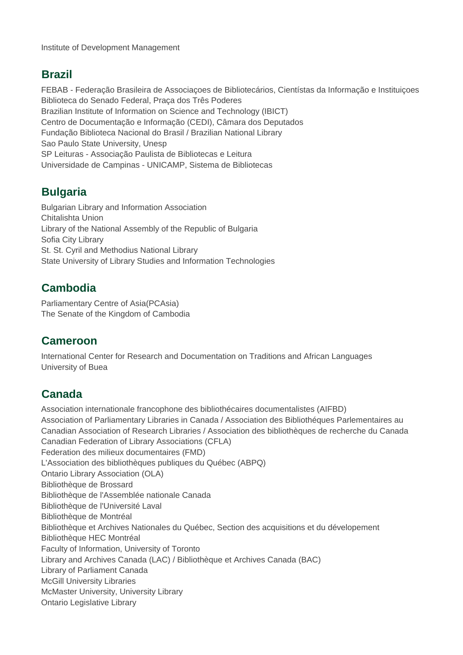## **Brazil**

FEBAB - Federação Brasileira de Associaçoes de Bibliotecários, Cientístas da Informação e Instituiçoes Biblioteca do Senado Federal, Praça dos Três Poderes Brazilian Institute of Information on Science and Technology (IBICT) Centro de Documentação e Informação (CEDI), Câmara dos Deputados Fundação Biblioteca Nacional do Brasil / Brazilian National Library Sao Paulo State University, Unesp SP Leituras - Associação Paulista de Bibliotecas e Leitura Universidade de Campinas - UNICAMP, Sistema de Bibliotecas

# **Bulgaria**

Bulgarian Library and Information Association Chitalishta Union Library of the National Assembly of the Republic of Bulgaria Sofia City Library St. St. Cyril and Methodius National Library State University of Library Studies and Information Technologies

# **Cambodia**

Parliamentary Centre of Asia(PCAsia) The Senate of the Kingdom of Cambodia

## **Cameroon**

International Center for Research and Documentation on Traditions and African Languages University of Buea

# **Canada**

Association internationale francophone des bibliothécaires documentalistes (AIFBD) Association of Parliamentary Libraries in Canada / Association des Bibliothéques Parlementaires au Canadian Association of Research Libraries / Association des bibliothèques de recherche du Canada Canadian Federation of Library Associations (CFLA) Federation des milieux documentaires (FMD) L'Association des bibliothèques publiques du Québec (ABPQ) Ontario Library Association (OLA) Bibliothèque de Brossard Bibliothèque de l'Assemblée nationale Canada Bibliothèque de l'Université Laval Bibliothèque de Montréal Bibliothèque et Archives Nationales du Québec, Section des acquisitions et du dévelopement Bibliothèque HEC Montréal Faculty of Information, University of Toronto Library and Archives Canada (LAC) / Bibliothèque et Archives Canada (BAC) Library of Parliament Canada McGill University Libraries McMaster University, University Library Ontario Legislative Library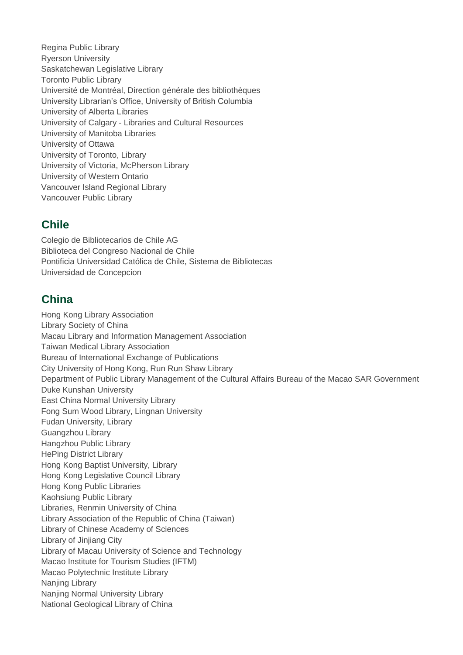Regina Public Library Ryerson University Saskatchewan Legislative Library Toronto Public Library Université de Montréal, Direction générale des bibliothèques University Librarian's Office, University of British Columbia University of Alberta Libraries University of Calgary - Libraries and Cultural Resources University of Manitoba Libraries University of Ottawa University of Toronto, Library University of Victoria, McPherson Library University of Western Ontario Vancouver Island Regional Library Vancouver Public Library

#### **Chile**

Colegio de Bibliotecarios de Chile AG Biblioteca del Congreso Nacional de Chile Pontificia Universidad Católica de Chile, Sistema de Bibliotecas Universidad de Concepcion

## **China**

Hong Kong Library Association Library Society of China Macau Library and Information Management Association Taiwan Medical Library Association Bureau of International Exchange of Publications City University of Hong Kong, Run Run Shaw Library Department of Public Library Management of the Cultural Affairs Bureau of the Macao SAR Government Duke Kunshan University East China Normal University Library Fong Sum Wood Library, Lingnan University Fudan University, Library Guangzhou Library Hangzhou Public Library HePing District Library Hong Kong Baptist University, Library Hong Kong Legislative Council Library Hong Kong Public Libraries Kaohsiung Public Library Libraries, Renmin University of China Library Association of the Republic of China (Taiwan) Library of Chinese Academy of Sciences Library of Jinjiang City Library of Macau University of Science and Technology Macao Institute for Tourism Studies (IFTM) Macao Polytechnic Institute Library Nanjing Library Nanjing Normal University Library National Geological Library of China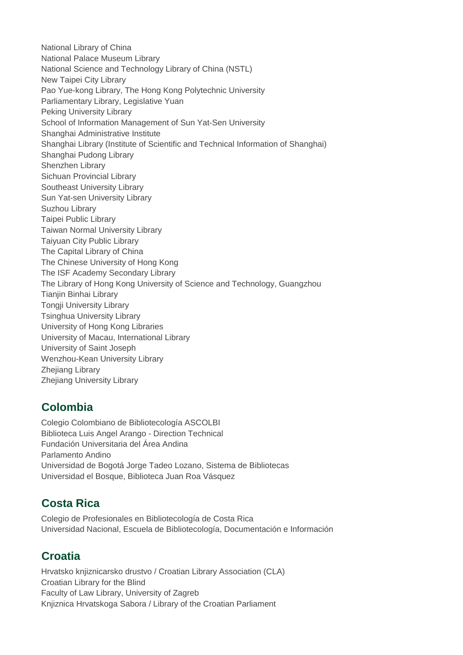National Library of China National Palace Museum Library National Science and Technology Library of China (NSTL) New Taipei City Library Pao Yue-kong Library, The Hong Kong Polytechnic University Parliamentary Library, Legislative Yuan Peking University Library School of Information Management of Sun Yat-Sen University Shanghai Administrative Institute Shanghai Library (Institute of Scientific and Technical Information of Shanghai) Shanghai Pudong Library Shenzhen Library Sichuan Provincial Library Southeast University Library Sun Yat-sen University Library Suzhou Library Taipei Public Library Taiwan Normal University Library Taiyuan City Public Library The Capital Library of China The Chinese University of Hong Kong The ISF Academy Secondary Library The Library of Hong Kong University of Science and Technology, Guangzhou Tianiin Binhai Library Tongji University Library Tsinghua University Library University of Hong Kong Libraries University of Macau, International Library University of Saint Joseph Wenzhou-Kean University Library Zhejiang Library Zhejiang University Library

## **Colombia**

Colegio Colombiano de Bibliotecología ASCOLBI Biblioteca Luis Angel Arango - Direction Technical Fundación Universitaria del Área Andina Parlamento Andino Universidad de Bogotá Jorge Tadeo Lozano, Sistema de Bibliotecas Universidad el Bosque, Biblioteca Juan Roa Vásquez

# **Costa Rica**

Colegio de Profesionales en Bibliotecología de Costa Rica Universidad Nacional, Escuela de Bibliotecología, Documentación e Información

# **Croatia**

Hrvatsko knjiznicarsko drustvo / Croatian Library Association (CLA) Croatian Library for the Blind Faculty of Law Library, University of Zagreb Knjiznica Hrvatskoga Sabora / Library of the Croatian Parliament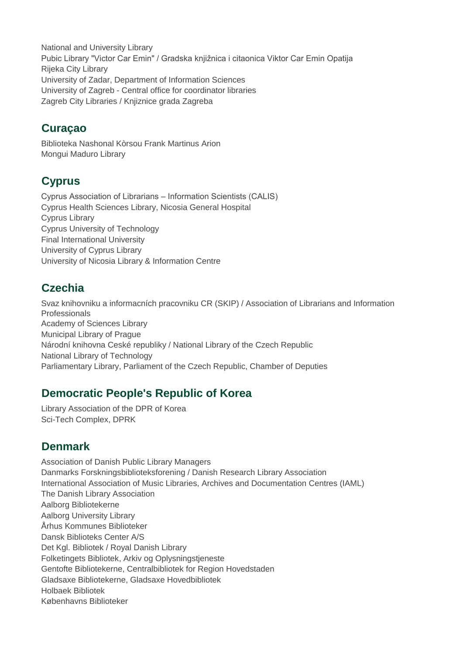National and University Library Pubic Library "Victor Car Emin" / Gradska knjižnica i citaonica Viktor Car Emin Opatija Rijeka City Library University of Zadar, Department of Information Sciences University of Zagreb - Central office for coordinator libraries Zagreb City Libraries / Knjiznice grada Zagreba

## **Curaçao**

Biblioteka Nashonal Kòrsou Frank Martinus Arion Mongui Maduro Library

# **Cyprus**

Cyprus Association of Librarians – Information Scientists (CALIS) Cyprus Health Sciences Library, Nicosia General Hospital Cyprus Library Cyprus University of Technology Final International University University of Cyprus Library University of Nicosia Library & Information Centre

# **Czechia**

Svaz knihovniku a informacních pracovniku CR (SKIP) / Association of Librarians and Information Professionals Academy of Sciences Library Municipal Library of Prague Národní knihovna Ceské republiky / National Library of the Czech Republic National Library of Technology Parliamentary Library, Parliament of the Czech Republic, Chamber of Deputies

# **Democratic People's Republic of Korea**

Library Association of the DPR of Korea Sci-Tech Complex, DPRK

# **Denmark**

Association of Danish Public Library Managers Danmarks Forskningsbiblioteksforening / Danish Research Library Association International Association of Music Libraries, Archives and Documentation Centres (IAML) The Danish Library Association Aalborg Bibliotekerne Aalborg University Library Århus Kommunes Biblioteker Dansk Biblioteks Center A/S Det Kgl. Bibliotek / Royal Danish Library Folketingets Bibliotek, Arkiv og Oplysningstjeneste Gentofte Bibliotekerne, Centralbibliotek for Region Hovedstaden Gladsaxe Bibliotekerne, Gladsaxe Hovedbibliotek Holbaek Bibliotek Københavns Biblioteker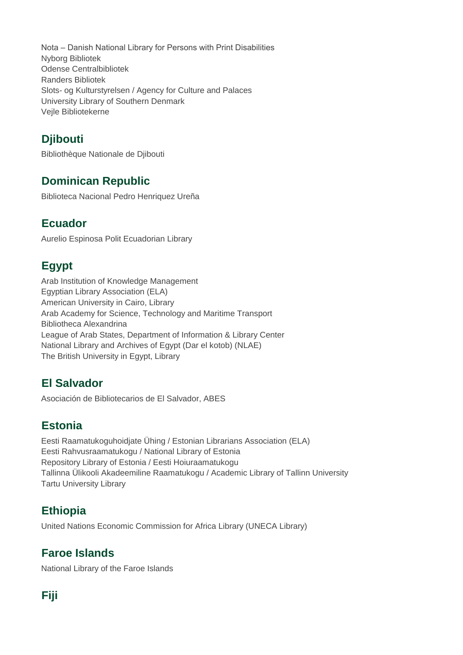Nota – Danish National Library for Persons with Print Disabilities Nyborg Bibliotek Odense Centralbibliotek Randers Bibliotek Slots- og Kulturstyrelsen / Agency for Culture and Palaces University Library of Southern Denmark Vejle Bibliotekerne

# **Djibouti**

Bibliothèque Nationale de Djibouti

# **Dominican Republic**

Biblioteca Nacional Pedro Henriquez Ureña

## **Ecuador**

Aurelio Espinosa Polit Ecuadorian Library

# **Egypt**

Arab Institution of Knowledge Management Egyptian Library Association (ELA) American University in Cairo, Library Arab Academy for Science, Technology and Maritime Transport Bibliotheca Alexandrina League of Arab States, Department of Information & Library Center National Library and Archives of Egypt (Dar el kotob) (NLAE) The British University in Egypt, Library

# **El Salvador**

Asociación de Bibliotecarios de El Salvador, ABES

## **Estonia**

Eesti Raamatukoguhoidjate Ühing / Estonian Librarians Association (ELA) Eesti Rahvusraamatukogu / National Library of Estonia Repository Library of Estonia / Eesti Hoiuraamatukogu Tallinna Ülikooli Akadeemiline Raamatukogu / Academic Library of Tallinn University Tartu University Library

# **Ethiopia**

United Nations Economic Commission for Africa Library (UNECA Library)

# **Faroe Islands**

National Library of the Faroe Islands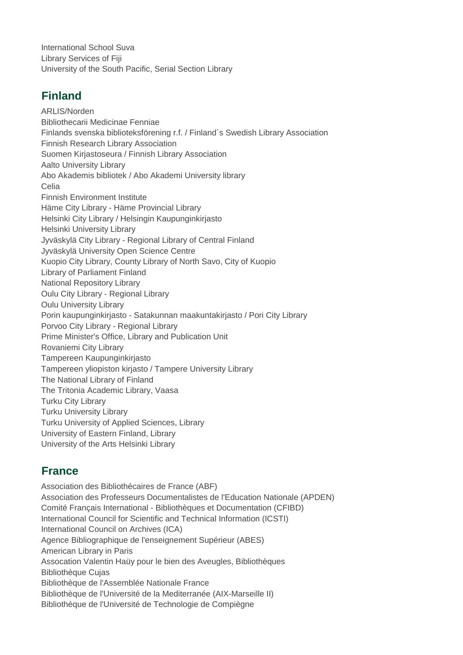International School Suva Library Services of Fiji University of the South Pacific, Serial Section Library

# **Finland**

ARLIS/Norden Bibliothecarii Medicinae Fenniae Finlands svenska biblioteksförening r.f. / Finland´s Swedish Library Association Finnish Research Library Association Suomen Kirjastoseura / Finnish Library Association Aalto University Library Abo Akademis bibliotek / Abo Akademi University library Celia Finnish Environment Institute Häme City Library - Häme Provincial Library Helsinki City Library / Helsingin Kaupunginkirjasto Helsinki University Library Jyväskylä City Library - Regional Library of Central Finland Jyväskylä University Open Science Centre Kuopio City Library, County Library of North Savo, City of Kuopio Library of Parliament Finland National Repository Library Oulu City Library - Regional Library Oulu University Library Porin kaupunginkirjasto - Satakunnan maakuntakirjasto / Pori City Library Porvoo City Library - Regional Library Prime Minister's Office, Library and Publication Unit Rovaniemi City Library Tampereen Kaupunginkirjasto Tampereen yliopiston kirjasto / Tampere University Library The National Library of Finland The Tritonia Academic Library, Vaasa Turku City Library Turku University Library Turku University of Applied Sciences, Library University of Eastern Finland, Library University of the Arts Helsinki Library

# **France**

Association des Bibliothécaires de France (ABF) Association des Professeurs Documentalistes de l'Education Nationale (APDEN) Comité Français International - Bibliothèques et Documentation (CFIBD) International Council for Scientific and Technical Information (ICSTI) International Council on Archives (ICA) Agence Bibliographique de l'enseignement Supérieur (ABES) American Library in Paris Assocation Valentin Haüy pour le bien des Aveugles, Bibliothèques Bibliothèque Cujas Bibliothèque de l'Assemblée Nationale France Bibliothèque de l'Université de la Mediterranée (AIX-Marseille II) Bibliothèque de l'Université de Technologie de Compiègne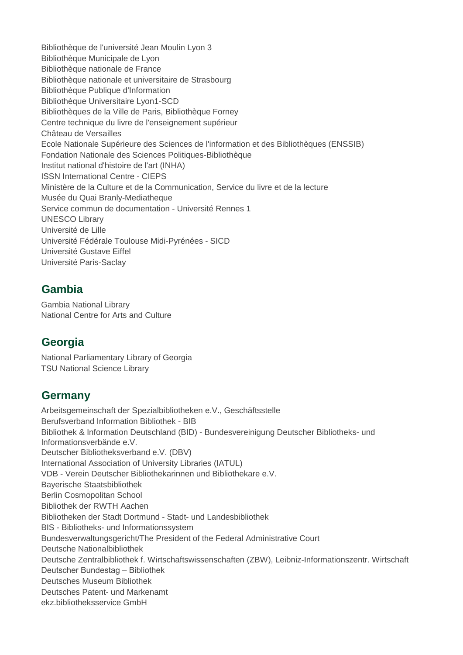Bibliothèque de l'université Jean Moulin Lyon 3 Bibliothèque Municipale de Lyon Bibliothèque nationale de France Bibliothèque nationale et universitaire de Strasbourg Bibliothèque Publique d'Information Bibliothèque Universitaire Lyon1-SCD Bibliothèques de la Ville de Paris, Bibliothèque Forney Centre technique du livre de l'enseignement supérieur Château de Versailles Ecole Nationale Supérieure des Sciences de l'information et des Bibliothèques (ENSSIB) Fondation Nationale des Sciences Politiques-Bibliothèque Institut national d'histoire de l'art (INHA) ISSN International Centre - CIEPS Ministère de la Culture et de la Communication, Service du livre et de la lecture Musée du Quai Branly-Mediatheque Service commun de documentation - Université Rennes 1 UNESCO Library Université de Lille Université Fédérale Toulouse Midi-Pyrénées - SICD Université Gustave Eiffel Université Paris-Saclay

#### **Gambia**

Gambia National Library National Centre for Arts and Culture

## **Georgia**

National Parliamentary Library of Georgia TSU National Science Library

## **Germany**

Arbeitsgemeinschaft der Spezialbibliotheken e.V., Geschäftsstelle Berufsverband Information Bibliothek - BIB Bibliothek & Information Deutschland (BID) - Bundesvereinigung Deutscher Bibliotheks- und Informationsverbände e.V. Deutscher Bibliotheksverband e.V. (DBV) International Association of University Libraries (IATUL) VDB - Verein Deutscher Bibliothekarinnen und Bibliothekare e.V. Bayerische Staatsbibliothek Berlin Cosmopolitan School Bibliothek der RWTH Aachen Bibliotheken der Stadt Dortmund - Stadt- und Landesbibliothek BIS - Bibliotheks- und Informationssystem Bundesverwaltungsgericht/The President of the Federal Administrative Court Deutsche Nationalbibliothek Deutsche Zentralbibliothek f. Wirtschaftswissenschaften (ZBW), Leibniz-Informationszentr. Wirtschaft Deutscher Bundestag – Bibliothek Deutsches Museum Bibliothek Deutsches Patent- und Markenamt ekz.bibliotheksservice GmbH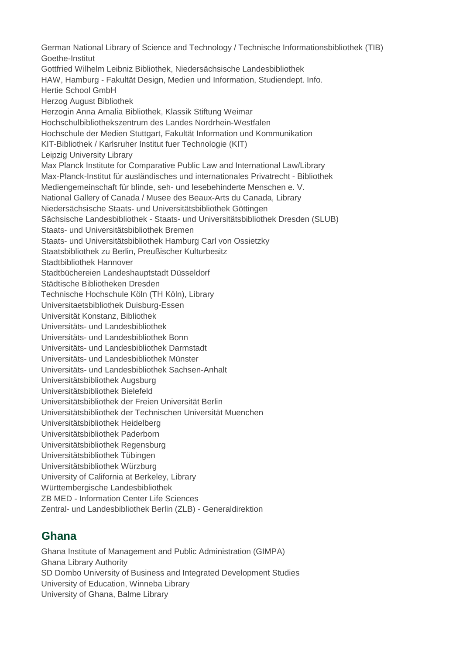German National Library of Science and Technology / Technische Informationsbibliothek (TIB) Goethe-Institut Gottfried Wilhelm Leibniz Bibliothek, Niedersächsische Landesbibliothek HAW, Hamburg - Fakultät Design, Medien und Information, Studiendept. Info. Hertie School GmbH Herzog August Bibliothek Herzogin Anna Amalia Bibliothek, Klassik Stiftung Weimar Hochschulbibliothekszentrum des Landes Nordrhein-Westfalen Hochschule der Medien Stuttgart, Fakultät Information und Kommunikation KIT-Bibliothek / Karlsruher Institut fuer Technologie (KIT) Leipzig University Library Max Planck Institute for Comparative Public Law and International Law/Library Max-Planck-Institut für ausländisches und internationales Privatrecht - Bibliothek Mediengemeinschaft für blinde, seh- und lesebehinderte Menschen e. V. National Gallery of Canada / Musee des Beaux-Arts du Canada, Library Niedersächsische Staats- und Universitätsbibliothek Göttingen Sächsische Landesbibliothek - Staats- und Universitätsbibliothek Dresden (SLUB) Staats- und Universitätsbibliothek Bremen Staats- und Universitätsbibliothek Hamburg Carl von Ossietzky Staatsbibliothek zu Berlin, Preußischer Kulturbesitz Stadtbibliothek Hannover Stadtbüchereien Landeshauptstadt Düsseldorf Städtische Bibliotheken Dresden Technische Hochschule Köln (TH Köln), Library Universitaetsbibliothek Duisburg-Essen Universität Konstanz, Bibliothek Universitäts- und Landesbibliothek Universitäts- und Landesbibliothek Bonn Universitäts- und Landesbibliothek Darmstadt Universitäts- und Landesbibliothek Münster Universitäts- und Landesbibliothek Sachsen-Anhalt Universitätsbibliothek Augsburg Universitätsbibliothek Bielefeld Universitätsbibliothek der Freien Universität Berlin Universitätsbibliothek der Technischen Universität Muenchen Universitätsbibliothek Heidelberg Universitätsbibliothek Paderborn Universitätsbibliothek Regensburg Universitätsbibliothek Tübingen Universitätsbibliothek Würzburg University of California at Berkeley, Library Württembergische Landesbibliothek ZB MED - Information Center Life Sciences Zentral- und Landesbibliothek Berlin (ZLB) - Generaldirektion

#### **Ghana**

Ghana Institute of Management and Public Administration (GIMPA) Ghana Library Authority SD Dombo University of Business and Integrated Development Studies University of Education, Winneba Library University of Ghana, Balme Library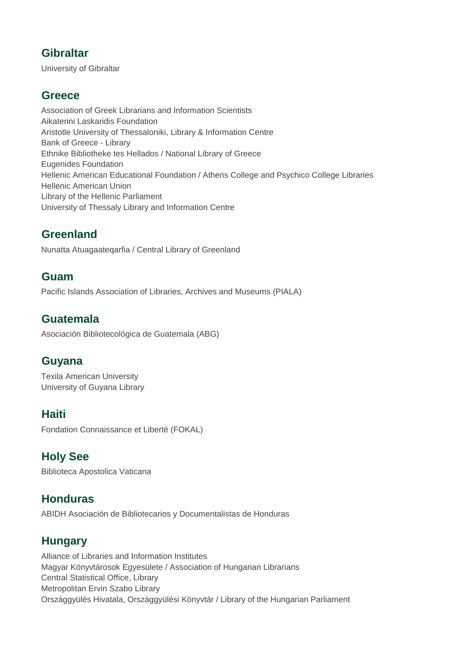#### **Gibraltar**

University of Gibraltar

#### **Greece**

Association of Greek Librarians and Information Scientists Aikaterini Laskaridis Foundation Aristotle University of Thessaloniki, Library & Information Centre Bank of Greece - Library Ethnike Bibliotheke tes Hellados / National Library of Greece Eugenides Foundation Hellenic American Educational Foundation / Athens College and Psychico College Libraries Hellenic American Union Library of the Hellenic Parliament University of Thessaly Library and Information Centre

## **Greenland**

Nunatta Atuagaateqarfia / Central Library of Greenland

#### **Guam**

Pacific Islands Association of Libraries, Archives and Museums (PIALA)

#### **Guatemala**

Asociación Bibliotecológica de Guatemala (ABG)

#### **Guyana**

Texila American University University of Guyana Library

#### **Haiti**

Fondation Connaissance et Liberté (FOKAL)

## **Holy See**

Biblioteca Apostolica Vaticana

# **Honduras**

ABIDH Asociación de Bibliotecarios y Documentalistas de Honduras

# **Hungary**

Alliance of Libraries and Information Institutes Magyar Könyvtárosok Egyesülete / Association of Hungarian Librarians Central Statistical Office, Library Metropolitan Ervin Szabo Library Országgyülés Hivatala, Országgyülési Könyvtár / Library of the Hungarian Parliament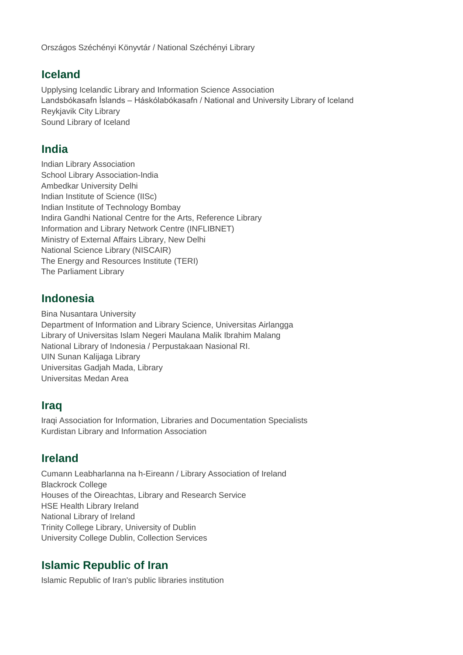Országos Széchényi Könyvtár / National Széchényi Library

#### **Iceland**

Upplysing Icelandic Library and Information Science Association Landsbókasafn Íslands – Háskólabókasafn / National and University Library of Iceland Reykjavik City Library Sound Library of Iceland

#### **India**

Indian Library Association School Library Association-India Ambedkar University Delhi Indian Institute of Science (IISc) Indian Institute of Technology Bombay Indira Gandhi National Centre for the Arts, Reference Library Information and Library Network Centre (INFLIBNET) Ministry of External Affairs Library, New Delhi National Science Library (NISCAIR) The Energy and Resources Institute (TERI) The Parliament Library

## **Indonesia**

Bina Nusantara University Department of Information and Library Science, Universitas Airlangga Library of Universitas Islam Negeri Maulana Malik Ibrahim Malang National Library of Indonesia / Perpustakaan Nasional RI. UIN Sunan Kalijaga Library Universitas Gadjah Mada, Library Universitas Medan Area

#### **Iraq**

Iraqi Association for Information, Libraries and Documentation Specialists Kurdistan Library and Information Association

#### **Ireland**

Cumann Leabharlanna na h-Eireann / Library Association of Ireland Blackrock College Houses of the Oireachtas, Library and Research Service HSE Health Library Ireland National Library of Ireland Trinity College Library, University of Dublin University College Dublin, Collection Services

#### **Islamic Republic of Iran**

Islamic Republic of Iran's public libraries institution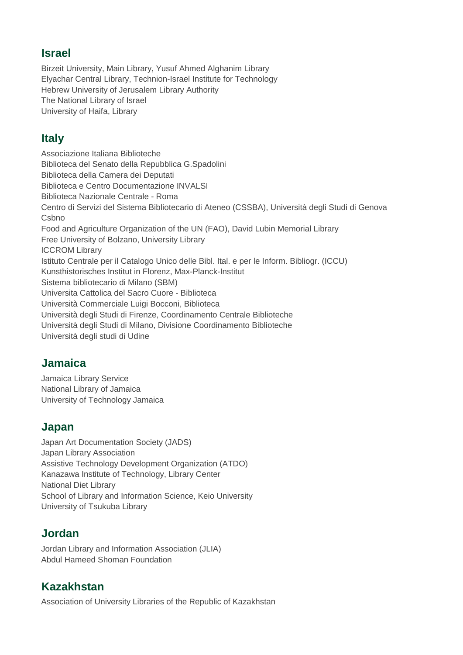#### **Israel**

Birzeit University, Main Library, Yusuf Ahmed Alghanim Library Elyachar Central Library, Technion-Israel Institute for Technology Hebrew University of Jerusalem Library Authority The National Library of Israel University of Haifa, Library

# **Italy**

Associazione Italiana Biblioteche Biblioteca del Senato della Repubblica G.Spadolini Biblioteca della Camera dei Deputati Biblioteca e Centro Documentazione INVALSI Biblioteca Nazionale Centrale - Roma Centro di Servizi del Sistema Bibliotecario di Ateneo (CSSBA), Università degli Studi di Genova **Csbno** Food and Agriculture Organization of the UN (FAO), David Lubin Memorial Library Free University of Bolzano, University Library ICCROM Library Istituto Centrale per il Catalogo Unico delle Bibl. Ital. e per le Inform. Bibliogr. (ICCU) Kunsthistorisches Institut in Florenz, Max-Planck-Institut Sistema bibliotecario di Milano (SBM) Universita Cattolica del Sacro Cuore - Biblioteca Università Commerciale Luigi Bocconi, Biblioteca Università degli Studi di Firenze, Coordinamento Centrale Biblioteche Università degli Studi di Milano, Divisione Coordinamento Biblioteche Università degli studi di Udine

## **Jamaica**

Jamaica Library Service National Library of Jamaica University of Technology Jamaica

## **Japan**

Japan Art Documentation Society (JADS) Japan Library Association Assistive Technology Development Organization (ATDO) Kanazawa Institute of Technology, Library Center National Diet Library School of Library and Information Science, Keio University University of Tsukuba Library

# **Jordan**

Jordan Library and Information Association (JLIA) Abdul Hameed Shoman Foundation

# **Kazakhstan**

Association of University Libraries of the Republic of Kazakhstan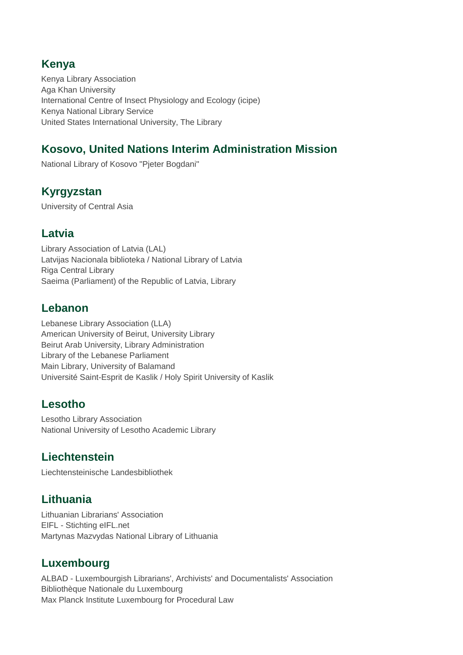## **Kenya**

Kenya Library Association Aga Khan University International Centre of Insect Physiology and Ecology (icipe) Kenya National Library Service United States International University, The Library

# **Kosovo, United Nations Interim Administration Mission**

National Library of Kosovo "Pjeter Bogdani"

## **Kyrgyzstan**

University of Central Asia

#### **Latvia**

Library Association of Latvia (LAL) Latvijas Nacionala biblioteka / National Library of Latvia Riga Central Library Saeima (Parliament) of the Republic of Latvia, Library

#### **Lebanon**

Lebanese Library Association (LLA) American University of Beirut, University Library Beirut Arab University, Library Administration Library of the Lebanese Parliament Main Library, University of Balamand Université Saint-Esprit de Kaslik / Holy Spirit University of Kaslik

## **Lesotho**

Lesotho Library Association National University of Lesotho Academic Library

#### **Liechtenstein**

Liechtensteinische Landesbibliothek

## **Lithuania**

Lithuanian Librarians' Association EIFL - Stichting eIFL.net Martynas Mazvydas National Library of Lithuania

## **Luxembourg**

ALBAD - Luxembourgish Librarians', Archivists' and Documentalists' Association Bibliothèque Nationale du Luxembourg Max Planck Institute Luxembourg for Procedural Law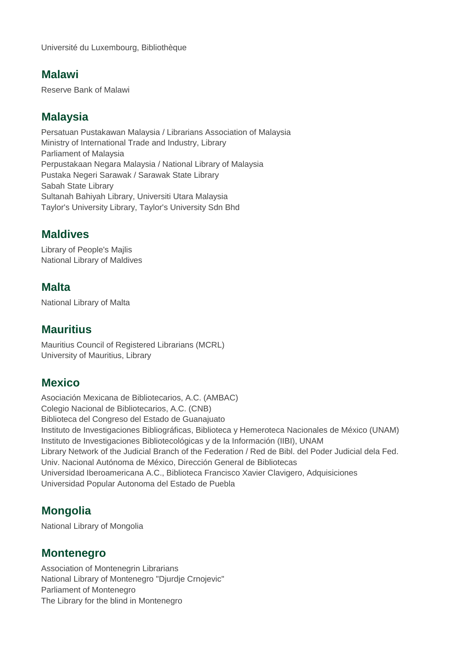#### **Malawi**

Reserve Bank of Malawi

## **Malaysia**

Persatuan Pustakawan Malaysia / Librarians Association of Malaysia Ministry of International Trade and Industry, Library Parliament of Malaysia Perpustakaan Negara Malaysia / National Library of Malaysia Pustaka Negeri Sarawak / Sarawak State Library Sabah State Library Sultanah Bahiyah Library, Universiti Utara Malaysia Taylor's University Library, Taylor's University Sdn Bhd

#### **Maldives**

Library of People's Majlis National Library of Maldives

## **Malta**

National Library of Malta

#### **Mauritius**

Mauritius Council of Registered Librarians (MCRL) University of Mauritius, Library

## **Mexico**

Asociación Mexicana de Bibliotecarios, A.C. (AMBAC) Colegio Nacional de Bibliotecarios, A.C. (CNB) Biblioteca del Congreso del Estado de Guanajuato Instituto de Investigaciones Bibliográficas, Biblioteca y Hemeroteca Nacionales de México (UNAM) Instituto de Investigaciones Bibliotecológicas y de la Información (IIBI), UNAM Library Network of the Judicial Branch of the Federation / Red de Bibl. del Poder Judicial dela Fed. Univ. Nacional Autónoma de México, Dirección General de Bibliotecas Universidad Iberoamericana A.C., Biblioteca Francisco Xavier Clavigero, Adquisiciones Universidad Popular Autonoma del Estado de Puebla

## **Mongolia**

National Library of Mongolia

#### **Montenegro**

Association of Montenegrin Librarians National Library of Montenegro "Djurdje Crnojevic" Parliament of Montenegro The Library for the blind in Montenegro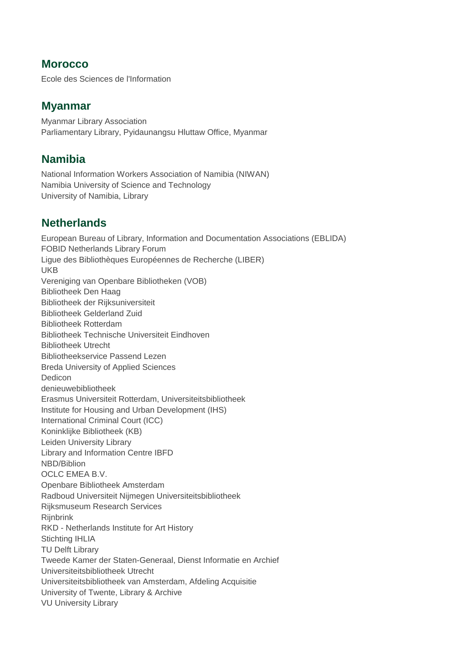#### **Morocco**

Ecole des Sciences de l'Information

#### **Myanmar**

Myanmar Library Association Parliamentary Library, Pyidaunangsu Hluttaw Office, Myanmar

## **Namibia**

National Information Workers Association of Namibia (NIWAN) Namibia University of Science and Technology University of Namibia, Library

## **Netherlands**

European Bureau of Library, Information and Documentation Associations (EBLIDA) FOBID Netherlands Library Forum Ligue des Bibliothèques Européennes de Recherche (LIBER) UKB Vereniging van Openbare Bibliotheken (VOB) Bibliotheek Den Haag Bibliotheek der Rijksuniversiteit Bibliotheek Gelderland Zuid Bibliotheek Rotterdam Bibliotheek Technische Universiteit Eindhoven Bibliotheek Utrecht Bibliotheekservice Passend Lezen Breda University of Applied Sciences Dedicon denieuwebibliotheek Erasmus Universiteit Rotterdam, Universiteitsbibliotheek Institute for Housing and Urban Development (IHS) International Criminal Court (ICC) Koninklijke Bibliotheek (KB) Leiden University Library Library and Information Centre IBFD NBD/Biblion OCLC EMEA B.V. Openbare Bibliotheek Amsterdam Radboud Universiteit Nijmegen Universiteitsbibliotheek Rijksmuseum Research Services **Riinbrink** RKD - Netherlands Institute for Art History Stichting IHLIA TU Delft Library Tweede Kamer der Staten-Generaal, Dienst Informatie en Archief Universiteitsbibliotheek Utrecht Universiteitsbibliotheek van Amsterdam, Afdeling Acquisitie University of Twente, Library & Archive VU University Library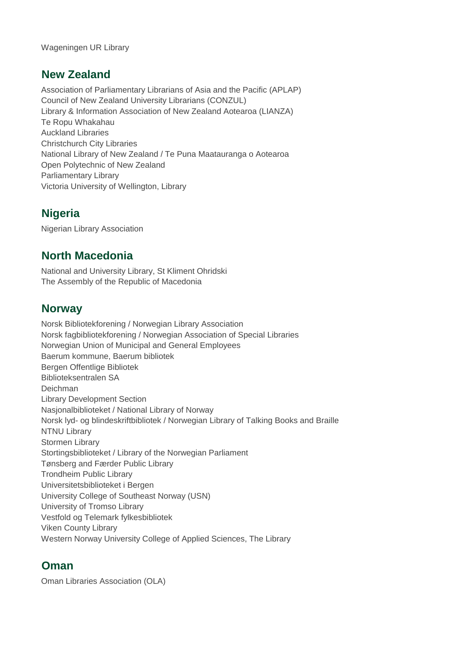Wageningen UR Library

#### **New Zealand**

Association of Parliamentary Librarians of Asia and the Pacific (APLAP) Council of New Zealand University Librarians (CONZUL) Library & Information Association of New Zealand Aotearoa (LIANZA) Te Ropu Whakahau Auckland Libraries Christchurch City Libraries National Library of New Zealand / Te Puna Maatauranga o Aotearoa Open Polytechnic of New Zealand Parliamentary Library Victoria University of Wellington, Library

## **Nigeria**

Nigerian Library Association

#### **North Macedonia**

National and University Library, St Kliment Ohridski The Assembly of the Republic of Macedonia

#### **Norway**

Norsk Bibliotekforening / Norwegian Library Association Norsk fagbibliotekforening / Norwegian Association of Special Libraries Norwegian Union of Municipal and General Employees Baerum kommune, Baerum bibliotek Bergen Offentlige Bibliotek Biblioteksentralen SA Deichman Library Development Section Nasjonalbiblioteket / National Library of Norway Norsk lyd- og blindeskriftbibliotek / Norwegian Library of Talking Books and Braille NTNU Library Stormen Library Stortingsbiblioteket / Library of the Norwegian Parliament Tønsberg and Færder Public Library Trondheim Public Library Universitetsbiblioteket i Bergen University College of Southeast Norway (USN) University of Tromso Library Vestfold og Telemark fylkesbibliotek Viken County Library Western Norway University College of Applied Sciences, The Library

#### **Oman**

Oman Libraries Association (OLA)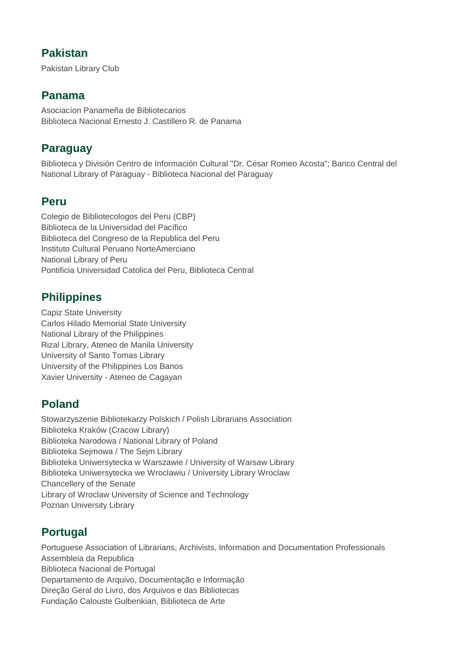#### **Pakistan**

Pakistan Library Club

#### **Panama**

Asociacíon Panameña de Bibliotecarios Biblioteca Nacional Ernesto J. Castillero R. de Panama

## **Paraguay**

Biblioteca y División Centro de Información Cultural "Dr. César Romeo Acosta"; Banco Central del National Library of Paraguay - Biblioteca Nacional del Paraguay

## **Peru**

Colegio de Bibliotecologos del Peru (CBP) Biblioteca de la Universidad del Pacífico Biblioteca del Congreso de la Republica del Peru Instituto Cultural Peruano NorteAmerciano National Library of Peru Pontificia Universidad Catolica del Peru, Biblioteca Central

# **Philippines**

Capiz State University Carlos Hilado Memorial State University National Library of the Philippines Rizal Library, Ateneo de Manila University University of Santo Tomas Library University of the Philippines Los Banos Xavier University - Ateneo de Cagayan

## **Poland**

Stowarzyszenie Bibliotekarzy Polskich / Polish Librarians Association Biblioteka Kraków (Cracow Library) Biblioteka Narodowa / National Library of Poland Biblioteka Sejmowa / The Sejm Library Biblioteka Uniwersytecka w Warszawie / University of Warsaw Library Biblioteka Uniwersytecka we Wroclawiu / University Library Wroclaw Chancellery of the Senate Library of Wroclaw University of Science and Technology Poznan University Library

# **Portugal**

Portuguese Association of Librarians, Archivists, Information and Documentation Professionals Assembleia da Republica Biblioteca Nacional de Portugal Departamento de Arquivo, Documentação e Informação Direção Geral do Livro, dos Arquivos e das Bibliotecas Fundação Calouste Gulbenkian, Biblioteca de Arte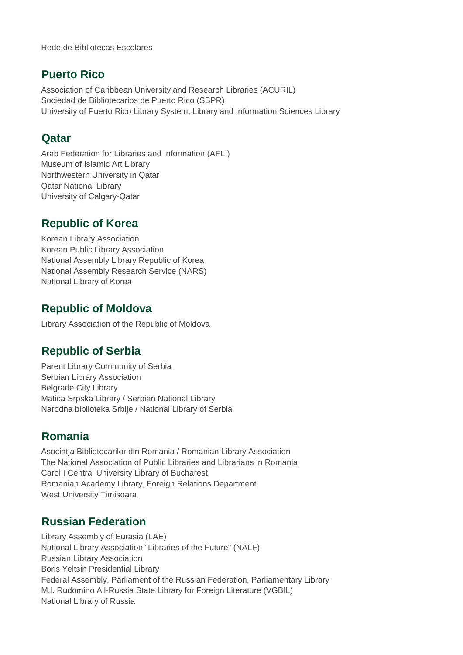Rede de Bibliotecas Escolares

#### **Puerto Rico**

Association of Caribbean University and Research Libraries (ACURIL) Sociedad de Bibliotecarios de Puerto Rico (SBPR) University of Puerto Rico Library System, Library and Information Sciences Library

#### **Qatar**

Arab Federation for Libraries and Information (AFLI) Museum of Islamic Art Library Northwestern University in Qatar Qatar National Library University of Calgary-Qatar

#### **Republic of Korea**

Korean Library Association Korean Public Library Association National Assembly Library Republic of Korea National Assembly Research Service (NARS) National Library of Korea

## **Republic of Moldova**

Library Association of the Republic of Moldova

## **Republic of Serbia**

Parent Library Community of Serbia Serbian Library Association Belgrade City Library Matica Srpska Library / Serbian National Library Narodna biblioteka Srbije / National Library of Serbia

#### **Romania**

Asociatja Bibliotecarilor din Romania / Romanian Library Association The National Association of Public Libraries and Librarians in Romania Carol I Central University Library of Bucharest Romanian Academy Library, Foreign Relations Department West University Timisoara

## **Russian Federation**

Library Assembly of Eurasia (LAE) National Library Association "Libraries of the Future" (NALF) Russian Library Association Boris Yeltsin Presidential Library Federal Assembly, Parliament of the Russian Federation, Parliamentary Library M.I. Rudomino All-Russia State Library for Foreign Literature (VGBIL) National Library of Russia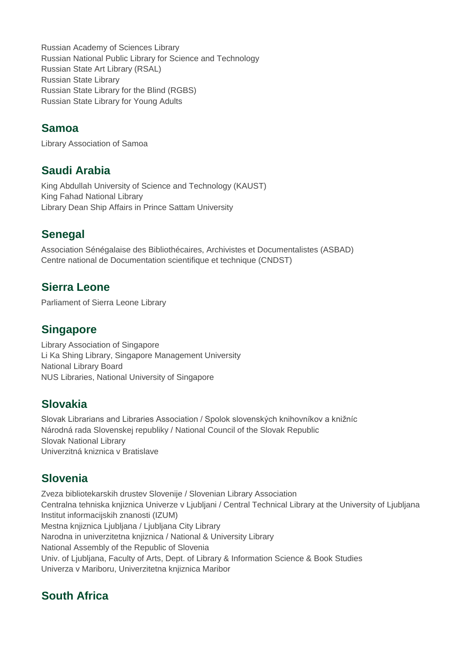Russian Academy of Sciences Library Russian National Public Library for Science and Technology Russian State Art Library (RSAL) Russian State Library Russian State Library for the Blind (RGBS) Russian State Library for Young Adults

#### **Samoa**

Library Association of Samoa

#### **Saudi Arabia**

King Abdullah University of Science and Technology (KAUST) King Fahad National Library Library Dean Ship Affairs in Prince Sattam University

## **Senegal**

Association Sénégalaise des Bibliothécaires, Archivistes et Documentalistes (ASBAD) Centre national de Documentation scientifique et technique (CNDST)

#### **Sierra Leone**

Parliament of Sierra Leone Library

#### **Singapore**

Library Association of Singapore Li Ka Shing Library, Singapore Management University National Library Board NUS Libraries, National University of Singapore

#### **Slovakia**

Slovak Librarians and Libraries Association / Spolok slovenských knihovníkov a knižníc Národná rada Slovenskej republiky / National Council of the Slovak Republic Slovak National Library Univerzitná kniznica v Bratislave

## **Slovenia**

Zveza bibliotekarskih drustev Slovenije / Slovenian Library Association Centralna tehniska knjiznica Univerze v Ljubljani / Central Technical Library at the University of Ljubljana Institut informacijskih znanosti (IZUM) Mestna knjiznica Ljubljana / Ljubljana City Library Narodna in univerzitetna knjiznica / National & University Library National Assembly of the Republic of Slovenia Univ. of Ljubljana, Faculty of Arts, Dept. of Library & Information Science & Book Studies Univerza v Mariboru, Univerzitetna knjiznica Maribor

# **South Africa**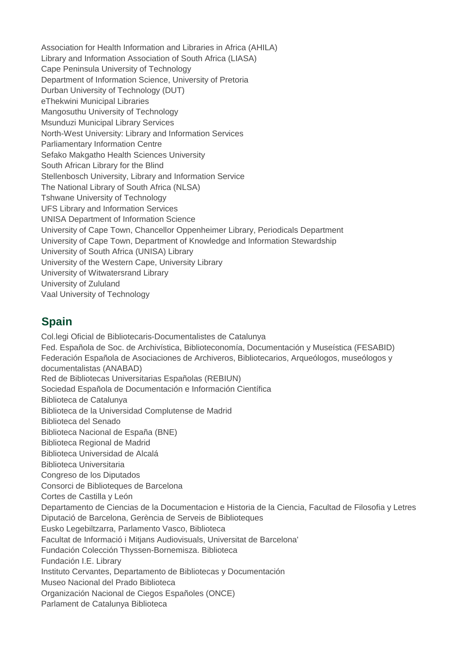Association for Health Information and Libraries in Africa (AHILA) Library and Information Association of South Africa (LIASA) Cape Peninsula University of Technology Department of Information Science, University of Pretoria Durban University of Technology (DUT) eThekwini Municipal Libraries Mangosuthu University of Technology Msunduzi Municipal Library Services North-West University: Library and Information Services Parliamentary Information Centre Sefako Makgatho Health Sciences University South African Library for the Blind Stellenbosch University, Library and Information Service The National Library of South Africa (NLSA) Tshwane University of Technology UFS Library and Information Services UNISA Department of Information Science University of Cape Town, Chancellor Oppenheimer Library, Periodicals Department University of Cape Town, Department of Knowledge and Information Stewardship University of South Africa (UNISA) Library University of the Western Cape, University Library University of Witwatersrand Library University of Zululand Vaal University of Technology

## **Spain**

Col.legi Oficial de Bibliotecaris-Documentalistes de Catalunya Fed. Española de Soc. de Archivística, Biblioteconomía, Documentación y Museística (FESABID) Federación Española de Asociaciones de Archiveros, Bibliotecarios, Arqueólogos, museólogos y documentalistas (ANABAD) Red de Bibliotecas Universitarias Españolas (REBIUN) Sociedad Española de Documentación e Información Científica Biblioteca de Catalunya Biblioteca de la Universidad Complutense de Madrid Biblioteca del Senado Biblioteca Nacional de España (BNE) Biblioteca Regional de Madrid Biblioteca Universidad de Alcalá Biblioteca Universitaria Congreso de los Diputados Consorci de Biblioteques de Barcelona Cortes de Castilla y León Departamento de Ciencias de la Documentacion e Historia de la Ciencia, Facultad de Filosofia y Letres Diputació de Barcelona, Gerència de Serveis de Biblioteques Eusko Legebiltzarra, Parlamento Vasco, Biblioteca Facultat de Informació i Mitjans Audiovisuals, Universitat de Barcelona' Fundación Colección Thyssen-Bornemisza. Biblioteca Fundación I.E. Library Instituto Cervantes, Departamento de Bibliotecas y Documentación Museo Nacional del Prado Biblioteca Organización Nacional de Ciegos Españoles (ONCE) Parlament de Catalunya Biblioteca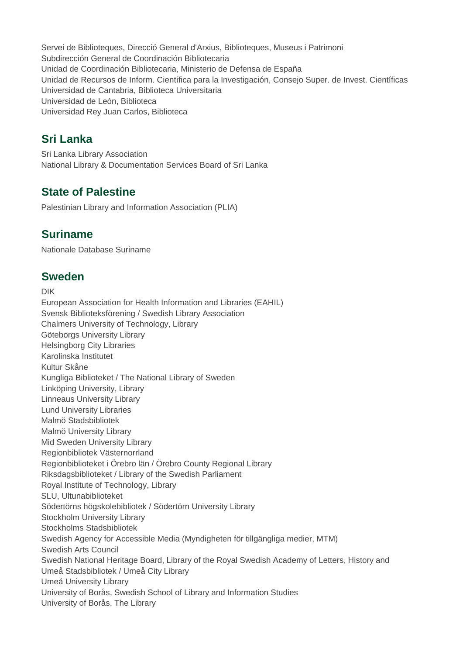Servei de Biblioteques, Direcció General d'Arxius, Biblioteques, Museus i Patrimoni Subdirección General de Coordinación Bibliotecaria Unidad de Coordinación Bibliotecaria, Ministerio de Defensa de España Unidad de Recursos de Inform. Científica para la Investigación, Consejo Super. de Invest. Científicas Universidad de Cantabria, Biblioteca Universitaria Universidad de León, Biblioteca Universidad Rey Juan Carlos, Biblioteca

## **Sri Lanka**

Sri Lanka Library Association National Library & Documentation Services Board of Sri Lanka

## **State of Palestine**

Palestinian Library and Information Association (PLIA)

## **Suriname**

Nationale Database Suriname

## **Sweden**

DIK

European Association for Health Information and Libraries (EAHIL) Svensk Biblioteksförening / Swedish Library Association Chalmers University of Technology, Library Göteborgs University Library Helsingborg City Libraries Karolinska Institutet Kultur Skåne Kungliga Biblioteket / The National Library of Sweden Linköping University, Library Linneaus University Library Lund University Libraries Malmö Stadsbibliotek Malmö University Library Mid Sweden University Library Regionbibliotek Västernorrland Regionbiblioteket i Örebro län / Örebro County Regional Library Riksdagsbiblioteket / Library of the Swedish Parliament Royal Institute of Technology, Library SLU, Ultunabiblioteket Södertörns högskolebibliotek / Södertörn University Library Stockholm University Library Stockholms Stadsbibliotek Swedish Agency for Accessible Media (Myndigheten för tillgängliga medier, MTM) Swedish Arts Council Swedish National Heritage Board, Library of the Royal Swedish Academy of Letters, History and Umeå Stadsbibliotek / Umeå City Library Umeå University Library University of Borås, Swedish School of Library and Information Studies University of Borås, The Library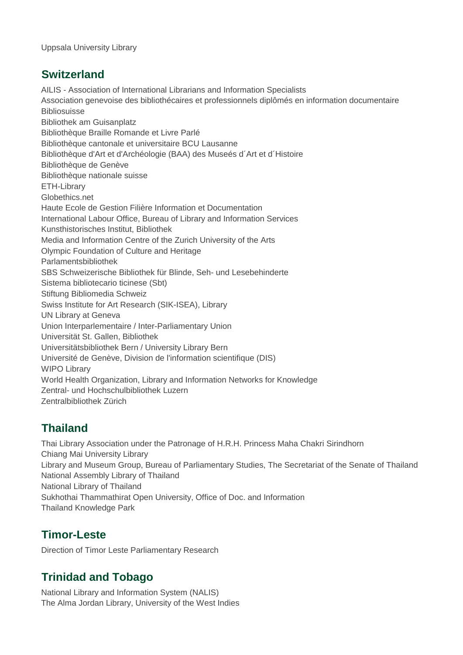Uppsala University Library

#### **Switzerland**

AILIS - Association of International Librarians and Information Specialists Association genevoise des bibliothécaires et professionnels diplômés en information documentaire **Bibliosuisse** Bibliothek am Guisanplatz Bibliothèque Braille Romande et Livre Parlé Bibliothèque cantonale et universitaire BCU Lausanne Bibliothèque d'Art et d'Archéologie (BAA) des Museés d´Art et d´Histoire Bibliothèque de Genève Bibliothèque nationale suisse ETH-Library Globethics.net Haute Ecole de Gestion Filière Information et Documentation International Labour Office, Bureau of Library and Information Services Kunsthistorisches Institut, Bibliothek Media and Information Centre of the Zurich University of the Arts Olympic Foundation of Culture and Heritage Parlamentsbibliothek SBS Schweizerische Bibliothek für Blinde, Seh- und Lesebehinderte Sistema bibliotecario ticinese (Sbt) Stiftung Bibliomedia Schweiz Swiss Institute for Art Research (SIK-ISEA), Library UN Library at Geneva Union Interparlementaire / Inter-Parliamentary Union Universität St. Gallen, Bibliothek Universitätsbibliothek Bern / University Library Bern Université de Genève, Division de l'information scientifique (DIS) WIPO Library World Health Organization, Library and Information Networks for Knowledge Zentral- und Hochschulbibliothek Luzern Zentralbibliothek Zürich

# **Thailand**

Thai Library Association under the Patronage of H.R.H. Princess Maha Chakri Sirindhorn Chiang Mai University Library Library and Museum Group, Bureau of Parliamentary Studies, The Secretariat of the Senate of Thailand National Assembly Library of Thailand National Library of Thailand Sukhothai Thammathirat Open University, Office of Doc. and Information Thailand Knowledge Park

## **Timor-Leste**

Direction of Timor Leste Parliamentary Research

# **Trinidad and Tobago**

National Library and Information System (NALIS) The Alma Jordan Library, University of the West Indies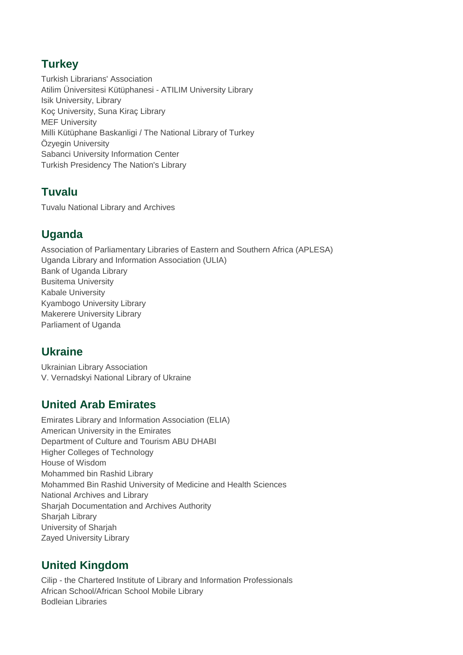## **Turkey**

Turkish Librarians' Association Atilim Üniversitesi Kütüphanesi - ATILIM University Library Isik University, Library Koç University, Suna Kiraç Library MEF University Milli Kütüphane Baskanligi / The National Library of Turkey Özyegin University Sabanci University Information Center Turkish Presidency The Nation's Library

# **Tuvalu**

Tuvalu National Library and Archives

# **Uganda**

Association of Parliamentary Libraries of Eastern and Southern Africa (APLESA) Uganda Library and Information Association (ULIA) Bank of Uganda Library Busitema University Kabale University Kyambogo University Library Makerere University Library Parliament of Uganda

# **Ukraine**

Ukrainian Library Association V. Vernadskyi National Library of Ukraine

## **United Arab Emirates**

Emirates Library and Information Association (ELIA) American University in the Emirates Department of Culture and Tourism ABU DHABI Higher Colleges of Technology House of Wisdom Mohammed bin Rashid Library Mohammed Bin Rashid University of Medicine and Health Sciences National Archives and Library Sharjah Documentation and Archives Authority Sharjah Library University of Sharjah Zayed University Library

# **United Kingdom**

Cilip - the Chartered Institute of Library and Information Professionals African School/African School Mobile Library Bodleian Libraries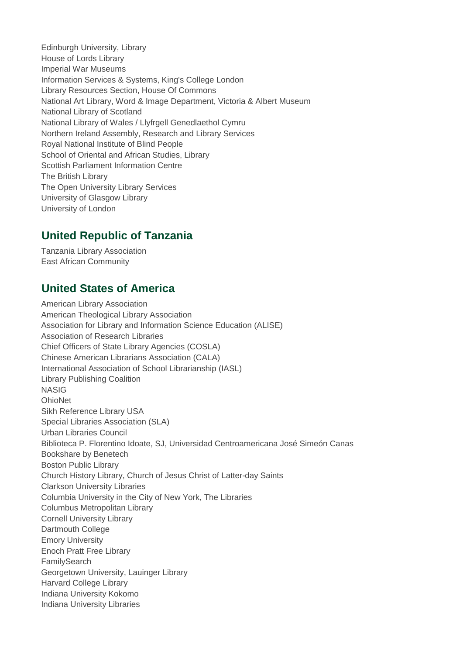Edinburgh University, Library House of Lords Library Imperial War Museums Information Services & Systems, King's College London Library Resources Section, House Of Commons National Art Library, Word & Image Department, Victoria & Albert Museum National Library of Scotland National Library of Wales / Llyfrgell Genedlaethol Cymru Northern Ireland Assembly, Research and Library Services Royal National Institute of Blind People School of Oriental and African Studies, Library Scottish Parliament Information Centre The British Library The Open University Library Services University of Glasgow Library University of London

## **United Republic of Tanzania**

Tanzania Library Association East African Community

## **United States of America**

American Library Association American Theological Library Association Association for Library and Information Science Education (ALISE) Association of Research Libraries Chief Officers of State Library Agencies (COSLA) Chinese American Librarians Association (CALA) International Association of School Librarianship (IASL) Library Publishing Coalition NASIG **OhioNet** Sikh Reference Library USA Special Libraries Association (SLA) Urban Libraries Council Biblioteca P. Florentino Idoate, SJ, Universidad Centroamericana José Simeón Canas Bookshare by Benetech Boston Public Library Church History Library, Church of Jesus Christ of Latter-day Saints Clarkson University Libraries Columbia University in the City of New York, The Libraries Columbus Metropolitan Library Cornell University Library Dartmouth College Emory University Enoch Pratt Free Library FamilySearch Georgetown University, Lauinger Library Harvard College Library Indiana University Kokomo Indiana University Libraries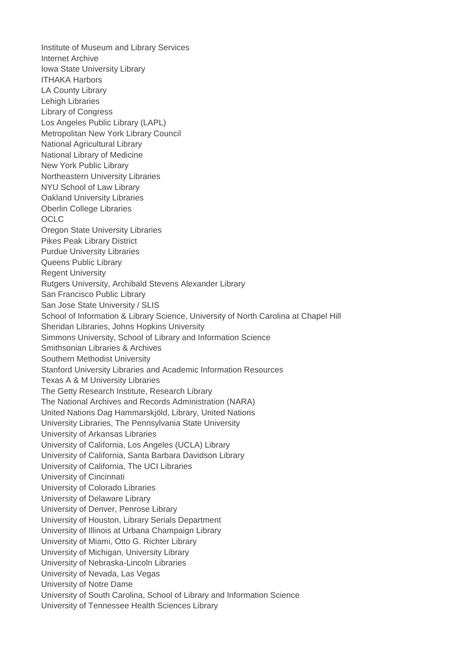Institute of Museum and Library Services Internet Archive Iowa State University Library ITHAKA Harbors LA County Library Lehigh Libraries Library of Congress Los Angeles Public Library (LAPL) Metropolitan New York Library Council National Agricultural Library National Library of Medicine New York Public Library Northeastern University Libraries NYU School of Law Library Oakland University Libraries Oberlin College Libraries **OCLC** Oregon State University Libraries Pikes Peak Library District Purdue University Libraries Queens Public Library Regent University Rutgers University, Archibald Stevens Alexander Library San Francisco Public Library San Jose State University / SLIS School of Information & Library Science, University of North Carolina at Chapel Hill Sheridan Libraries, Johns Hopkins University Simmons University, School of Library and Information Science Smithsonian Libraries & Archives Southern Methodist University Stanford University Libraries and Academic Information Resources Texas A & M University Libraries The Getty Research Institute, Research Library The National Archives and Records Administration (NARA) United Nations Dag Hammarskjöld, Library, United Nations University Libraries, The Pennsylvania State University University of Arkansas Libraries University of California, Los Angeles (UCLA) Library University of California, Santa Barbara Davidson Library University of California, The UCI Libraries University of Cincinnati University of Colorado Libraries University of Delaware Library University of Denver, Penrose Library University of Houston, Library Serials Department University of Illinois at Urbana Champaign Library University of Miami, Otto G. Richter Library University of Michigan, University Library University of Nebraska-Lincoln Libraries University of Nevada, Las Vegas University of Notre Dame University of South Carolina, School of Library and Information Science University of Tennessee Health Sciences Library